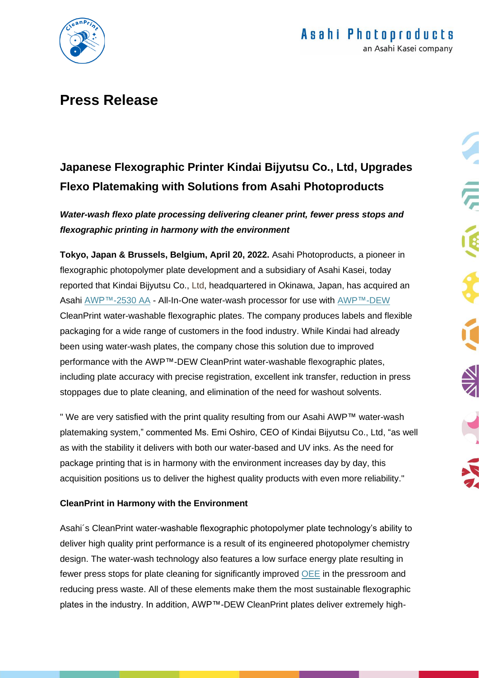

## **Press Release**

# **Japanese Flexographic Printer Kindai Bijyutsu Co., Ltd, Upgrades Flexo Platemaking with Solutions from Asahi Photoproducts**

*Water-wash flexo plate processing delivering cleaner print, fewer press stops and flexographic printing in harmony with the environment*

**Tokyo, Japan & Brussels, Belgium, April 20, 2022.** Asahi Photoproducts, a pioneer in flexographic photopolymer plate development and a subsidiary of Asahi Kasei, today reported that Kindai Bijyutsu Co., Ltd, headquartered in Okinawa, Japan, has acquired an Asahi [AWP™-2530 AA](https://www.asahi-photoproducts.com/en/equipment) - All-In-One water-wash processor for use with [AWP™-DEW](https://www.asahi-photoproducts.com/awp) CleanPrint water-washable flexographic plates. The company produces labels and flexible packaging for a wide range of customers in the food industry. While Kindai had already been using water-wash plates, the company chose this solution due to improved performance with the AWP™-DEW CleanPrint water-washable flexographic plates, including plate accuracy with precise registration, excellent ink transfer, reduction in press stoppages due to plate cleaning, and elimination of the need for washout solvents.

" We are very satisfied with the print quality resulting from our Asahi AWP™ water-wash platemaking system," commented Ms. Emi Oshiro, CEO of Kindai Bijyutsu Co., Ltd, "as well as with the stability it delivers with both our water-based and UV inks. As the need for package printing that is in harmony with the environment increases day by day, this acquisition positions us to deliver the highest quality products with even more reliability."

## **CleanPrint in Harmony with the Environment**

Asahi´s CleanPrint water-washable flexographic photopolymer plate technology's ability to deliver high quality print performance is a result of its engineered photopolymer chemistry design. The water-wash technology also features a low surface energy plate resulting in fewer press stops for plate cleaning for significantly improved [OEE](https://asahi-photoproducts.com/en/OEE) in the pressroom and reducing press waste. All of these elements make them the most sustainable flexographic plates in the industry. In addition, AWP™-DEW CleanPrint plates deliver extremely high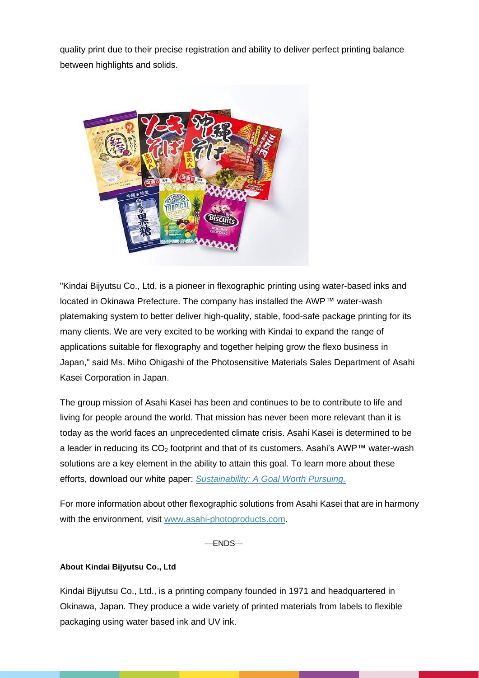quality print due to their precise registration and ability to deliver perfect printing balance between highlights and solids.



"Kindai Bijyutsu Co., Ltd, is a pioneer in flexographic printing using water-based inks and located in Okinawa Prefecture. The company has installed the AWP™ water-wash platemaking system to better deliver high-quality, stable, food-safe package printing for its many clients. We are very excited to be working with Kindai to expand the range of applications suitable for flexography and together helping grow the flexo business in Japan," said Ms. Miho Ohigashi of the Photosensitive Materials Sales Department of Asahi Kasei Corporation in Japan.

The group mission of Asahi Kasei has been and continues to be to contribute to life and living for people around the world. That mission has never been more relevant than it is today as the world faces an unprecedented climate crisis. Asahi Kasei is determined to be a leader in reducing its  $CO<sub>2</sub>$  footprint and that of its customers. Asahi's AWP<sup>™</sup> water-wash solutions are a key element in the ability to attain this goal. To learn more about these efforts, download our white paper: *[Sustainability: A Goal Worth Pursuing.](https://asahi-photoproducts.com/en/resource/58)*

For more information about other flexographic solutions from Asahi Kasei that are in harmony with the environment, visit [www.asahi-photoproducts.com.](http://www.asahi-photoproducts.com/)

 $-FNDS-$ 

### **About Kindai Bijyutsu Co., Ltd**

ľ

Kindai Bijyutsu Co., Ltd., is a printing company founded in 1971 and headquartered in Okinawa, Japan. They produce a wide variety of printed materials from labels to flexible packaging using water based ink and UV ink.